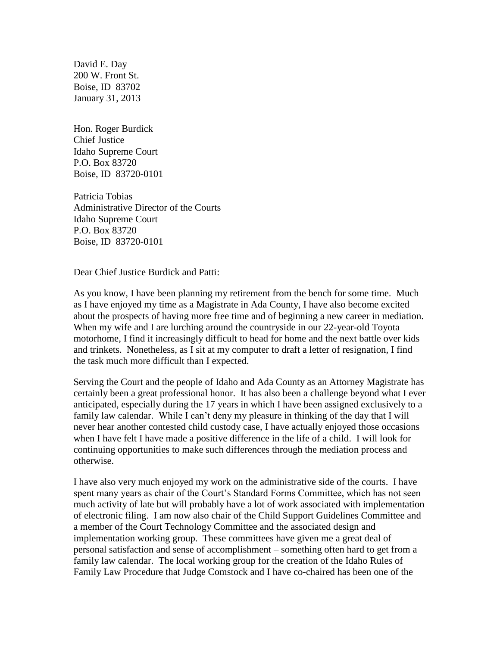David E. Day 200 W. Front St. Boise, ID 83702 January 31, 2013

Hon. Roger Burdick Chief Justice Idaho Supreme Court P.O. Box 83720 Boise, ID 83720-0101

Patricia Tobias Administrative Director of the Courts Idaho Supreme Court P.O. Box 83720 Boise, ID 83720-0101

Dear Chief Justice Burdick and Patti:

As you know, I have been planning my retirement from the bench for some time. Much as I have enjoyed my time as a Magistrate in Ada County, I have also become excited about the prospects of having more free time and of beginning a new career in mediation. When my wife and I are lurching around the countryside in our 22-year-old Toyota motorhome, I find it increasingly difficult to head for home and the next battle over kids and trinkets. Nonetheless, as I sit at my computer to draft a letter of resignation, I find the task much more difficult than I expected.

Serving the Court and the people of Idaho and Ada County as an Attorney Magistrate has certainly been a great professional honor. It has also been a challenge beyond what I ever anticipated, especially during the 17 years in which I have been assigned exclusively to a family law calendar. While I can't deny my pleasure in thinking of the day that I will never hear another contested child custody case, I have actually enjoyed those occasions when I have felt I have made a positive difference in the life of a child. I will look for continuing opportunities to make such differences through the mediation process and otherwise.

I have also very much enjoyed my work on the administrative side of the courts. I have spent many years as chair of the Court's Standard Forms Committee, which has not seen much activity of late but will probably have a lot of work associated with implementation of electronic filing. I am now also chair of the Child Support Guidelines Committee and a member of the Court Technology Committee and the associated design and implementation working group. These committees have given me a great deal of personal satisfaction and sense of accomplishment – something often hard to get from a family law calendar. The local working group for the creation of the Idaho Rules of Family Law Procedure that Judge Comstock and I have co-chaired has been one of the